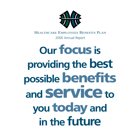

HEALTHCARE EMPLOYEES BENEFITS PLAN

2000 Annual Report

## **Our focus is providing the best possible benefits and serviceto you todayand in the future**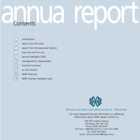# annua report

18

- **introduction**
- report from the chair
- report from the executive director
- how we work for you
- service highlights 2000
- management's responsibility
- financial summary
- on the horizon
- HEBP directory
- HEBP member feedback card



#### HEALTHCARE EMPLOYEES BENEFITS PLAN – MANITOBA

For more detailed financial information or additional information about HEBP, please contact us.

> 900-200 Graham Avenue Winnipeg, MB R3C 4L5 Phone: (204) 942-6591 Toll Free: 1-888-842-4233 or 1-877-567-4996 Fax: (204) 943-3862 Email: communications@hepp.mb.ca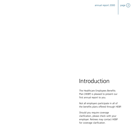annual report 2000  $\vert$  page  $(2)$ 



## Introduction

The Healthcare Employees Benefits Plan (HEBP) is pleased to present our first annual report to you.

Not all employers participate in all of the benefits plans offered through HEBP.

Should you require coverage clarification, please check with your employer. Retirees may contact HEBP for coverage clarification.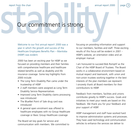# report from the chair<br>Our commitment is strong. Our commitment is strong.

Welcome to our first annual report! 2000 was a year in which the growth and success of the Healthcare Employees Benefits Plan – Manitoba (HEBP) was evident.

2000 has been an exciting year for HEBP as we focused on providing members and their families with comprehensive healthcare and healthcare related benefits as well as disability and life insurance coverage. Some key highlights from 2000 include:

- The Long Term Disability Plan came under the trusteeship of HEBP
- 2 staff members were assigned as Long Term Disability Service Representatives
- Improved Long Term Disability claims processing was introduced
- The BlueNet Point of Sale drug card was introduced
- A general open enrolment was offered to healthcare employees with no Group Healthcare coverage or Basic Group Healthcare coverage

The Board set key goals for service and communication with members. We committed to focusing on providing information and support to our members, facilities and staff. Three exciting results of this focus will be evident in 2001 - HEBP's website, an orientation video and an employer manual.

I am honoured to succeed Bob Romphf as the Chair of the HEBP Board of Trustees. The Board works in a collaborative environment based on mutual respect and teamwork, with union and non-union trustees working together in the best interests of the plan members we represent. I sincerely thank all Board members for their contributions to HEBP.

Feedback from members, facilities and unions contributes greatly to HEBP's success. Goals and initiatives to meet your needs are based on this feedback. We thank you for your feedback and your support of HEBP.

HEBP management and staff have worked hard to improve administration systems and processes. They have used technology and communication vehicles to enhance the services we deliver to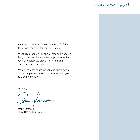

members, facilities and unions. On behalf of the Board, we thank you for your dedication.

As you read through this annual report, my hope is that you will see the scope and importance of the benefits program we provide for healthcare employees and their families.

We look forward to serving you and providing you with a comprehensive and stable benefits program now and in the future.

Sincerely,

Sennaforensen

Penny Sorensen Chair, HEBP – Manitoba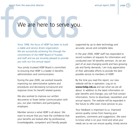## We are here to serve you.

Since 1998, the focus of HEBP has been to build a stable and service driven organization. We are successfully achieving this through the commitment of the HEBP Board of Trustees and staff and we are sincerely pleased to provide you with our first annual report.

Your jointly trusteed HEBP Board is committed to ensuring that HEBP is a leader in benefits administration and communication.

During the year 2000, we worked towards improving our administrative systems and procedures and decreasing turnaround and response times for benefit related queries.

We also worked to improve our written documents to foster better communication with you, our plan members and participating employers.

Member service is what HEBP is all about. We want to ensure that you have the confidence that your benefits are looked after by professional, knowledgeable, competent and friendly people

supported by up to date technology and accurate, secure and complete data.

In the year 2000, HEBP staff has responded to record numbers of requests for information and conducted over 50 benefits seminars. As we are part of an ever-changing world and face growing job and family demands, I am truly appreciative of their admirable efforts to provide the best possible service to members of HEBP.

By the time you read this report, our new website will be in operation. Log on to **www.hebp.mb.ca** and see what we are all about. In addition to the latest information on plan benefits and changes, you will find contact information, forms to download, newsletters and annual reports. The website will be expanded in the future to offer even more services to you.

Your feedback is important to us. Improved service quality comes from hearing your questions, comments and suggestions. We want to know what is on your mind and what your needs are so we can ensure quality, timely service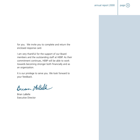

for you. We invite you to complete and return the enclosed response card.

I am very thankful for the support of our Board members and the outstanding staff at HEBP. As their commitment continues, HEBP will be able to work towards becoming stronger both financially and as an organization.

It is our privilege to serve you. We look forward to your feedback.

Bream Ho Bell

Brian LaBelle Executive Director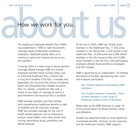# How we work for you.<br>The Healthcare Employees Benefits Plan (HEBP) At the end of 2000, HEBP has 19,926 active

The Healthcare Employees Benefits Plan (HEBP) was established in 1998 to meet the benefits coverage needs of Manitoba's healthcare employees. Dedicated people allow us to continue to grow and improve service to you, the members.

Currently, there is a wide range of group benefits coverage offered through HEBP. For actively employed members these include a Basic and an Enhanced Healthcare Plan, a Dental Plan, a Long Term Disability (LTD) Plan, a member and dependent Life Insurance Plan and an Accidental Death and Dismemberment (AD&D) Insurance Plan. For retirees, a Healthcare Plan with a choice of two levels of coverage as well as a post-retirement Life Insurance Plan is available.

HEBP provides members and their families with comprehensive healthcare benefits as well as disability and life insurance coverage. HEBP also provides coverage for the cost of health related expenses such as ambulance services, travel health, vision care, private duty nursing, prescription drugs, prosthetics and dental expenses.

At the end of 2000, HEBP has 19,926 active members in the Healthcare Plan, 17,042 active members in the Dental Plan, 3,224 retirees in the Healthcare Plan, 27,200 active and 2,696 retired members in the Life Insurance Plan and 23,885 active members in the LTD Plan. 200 participating employers offered these benefits to employees and their families.

HEBP is governed by an independent, 10 member joint Board of Trustees representing both union and employer participants:

#### *Five Trustees represent participating HEBP employers.*

*Five Trustees represent employees. These trustees represent a wide range of healthcare related unions in Manitoba.*

Please refer to the HEBP Directory on page 18 of this annual report for Board member names and affiliations.

Trustees are appointed based on their experience in employee benefits, finances, human resources and the healthcare industry. HEBP supports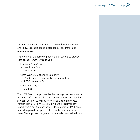

Trustees' continuing education to ensure they are informed and knowledgeable about related legislation, trends and governance issues.

We work with the following benefit plan carriers to provide excellent customer service to you:

Manitoba Blue Cross

- Healthcare Plan
- Dental Plan

Great-West Life Assurance Company

- Member and Dependent Life Insurance Plan
- AD&D Insurance Plan

Manulife Financial

– LTD Plan

The HEBP Board is supported by the management team and a full-time staff of 35. Staff provide administrative and member services for HEBP as well as for the Healthcare Employees Pension Plan (HEPP). We are building a full customer service model where our Member Service Representatives (MSR's) are trained to provide support in all of our benefits and service areas. This supports our goal to have a fully cross-trained staff.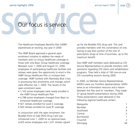# service highlights 2000<br>
Our focus is service Our focus is service.

The Healthcare Employees Benefits Plan (HEBP) experienced an exciting, key year in 2000.

The HEBP Board approved a general open enrolment initiative to address the needs of members with no Group Healthcare coverage or those with only Basic Group Healthcare coverage. Between June 1, 2000 and August 31, 2000, employees of participating healthcare facilities and retirees were given the opportunity to enrol in the HEBP Group Healthcare Plan or increase their coverage. HEBP worked with Manitoba Blue Cross in processing new enrolments and changes which were effective July 1, 2000. The results of the open enrolment were:

- 1,163 active employees were newly enrolled in the HEBP Group Healthcare Plan.
- 4,788 active employees changed from Basic to Enhanced Healthcare coverage.
- 921 retirees enrolled for Level I coverage.
- 920 retirees enrolled for Level  $\overline{\mathbb{I}}$  coverage.

In conjunction with the open enrolment, the BlueNet Point of Sale (POS) Drug Card was introduced June 1, 2000 on an optional basis. 4,425 active employees and 1,231 retirees signed up for the BlueNet POS drug card. The card provides members with the convenience of only having to pay their portion of the cost of prescription drugs at time of purchase, up to the maximum benefit.

Two HEBP staff members were dedicated as LTD Service Representatives to provide members with assistance regarding LTD claims and rehabilitation programs. They held a total of 160 one-on-one LTD counselling sessions during 2000.

In 2000, six Member Service Representatives (MSR's) were our frontline representatives. MSR's serve as an information resource and a liaison between the Plan and its' members. They made 57 group benefit presentations during 2000. These presentations were delivered in the following regional healthcare centers:

| Marquette |               |
|-----------|---------------|
| Nor-Man   | 3             |
| Southwest | 4             |
| Central   | $\mathcal{P}$ |
| Burntwood | 1             |
| Churchill | $\mathcal{P}$ |
| Winnipeg  | 14            |
|           |               |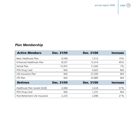

### *Plan Membership*

| <b>Active Members</b>                | Dec. 31/99 | <b>Dec. 31/00</b> | <b>Increase</b> |
|--------------------------------------|------------|-------------------|-----------------|
| Basic Healthcare Plan                | 6,549      | 7,512             | 15%             |
| Enhanced Healthcare Plan             | 8,537      | 12,414            | 45%             |
| Dental Plan                          | 15,972     | 17,042            | 7%              |
| POS Drug Card                        | N/A        | 4,425             | N/A             |
| Life Insurance Plan                  | N/A        | 27,200            | N/A             |
| LTD Plan                             | N/A        | 23,885            | N/A             |
| <b>Retirees</b>                      | Dec. 31/99 | <b>Dec. 31/00</b> | <b>Increase</b> |
| Healthcare Plan (Levels $L \& \Pi$ ) | 2,060      | 3,224             | 57%             |
| POS Drug Card                        | N/A        | 1,231             | N/A             |
| Post-Retirement Life Insurance       | 2,225      | 2,696             | 21%             |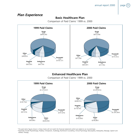#### *Plan Experience*

#### **Basic Healthcare Plan**

Comparison of Paid Claims<sup>1</sup> 1999 vs. 2000



#### **Enhanced Healthcare Plan**

Comparison of Paid Claims<sup>1</sup> 1999 vs. 2000



<sup>1</sup> The paid claims figures shown in these charts will not match the financial statements which are stated on an incurred basis.

<sup>2</sup> Parameds include Physiotherapy, Podiatry, Chiropractic, Audiology, Nutritional Counselling, Clinical Psychology, Naturopathy, Osteopathy, Massage, Speech and Athletic Therapy.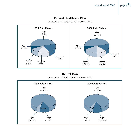#### **Retired Healthcare Plan**

Comparison of Paid Claims<sup>1</sup> 1999 vs. 2000



**Dental Plan** Comparison of Paid Claims<sup>1</sup> 1999 vs. 2000

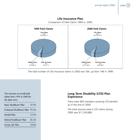

Comparison of Paid Claims 1999 vs. 2000



The total number of Life Insurance claims in 2000 was 164, up from 146 in 1999.

*The increases in overall paid claims from 1999 to 2000 for the plans were: Basic Healthcare Plan 27.5% Enhanced Healthcare Plan 55.2% Dental Plan 12.5% Retired Healthcare Plan 81.2% Group Life Plan 18.0%*

#### **Long Term Disability (LTD) Plan Experience**

There were 893 members receiving LTD benefits as of the end of 2000.

The total amount paid in LTD claims during 2000 was \$11,334,882.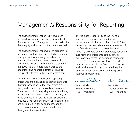### Management's Responsibility for Reporting.

The financial statements of HEBP have been prepared by management and approved by the Board of Trustees. Management is responsible for the integrity and fairness of the data presented.

The financial statements have been prepared in accordance with generally accepted accounting principles and, of necessity, include some amounts that are based on estimates and judgements. Financial information presented in the 2000 Annual Report that relates to the operations and financial position of HEBP is consistent with that in the financial statements.

Systems of internal control and supporting procedures are maintained to provide assurance that transactions are authorized, assets are safeguarded and proper records are maintained. These controls include quality standards in hiring and training employees, a code of conduct, the establishment of an organizational structure that provides a well-defined division of responsibilities and accountability for performance, and the communication of policies and guidelines throughout the organization.

The ultimate responsibility of the financial statements rests with the Board, assisted by management. HEBP's external auditors, KPMG LLP, have conducted an independent examination of the financial statements in accordance with generally accepted auditing standards, performing such tests and procedures as they consider necessary to express the opinion in their audit report. The external auditors have full and unrestricted access to the Board to discuss the audit and related findings as to the integrity of HEBP's financial reporting and adequacy of internal control systems.

Bream HaBell

Pal-Sulall

Brian LaBelle Rohini Halli, CA Executive Director, **Director Director Contains Executive Director**, HEBP – Manitoba HEBP – Manitoba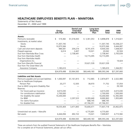#### **HEALTHCARE EMPLOYEES BENEFITS PLAN – MANITOBA**

Statements of Net Assets December 31, 2000 and 1999

|                                          | Group<br>Life Plan | Dental and<br><b>Extended</b><br><b>Health Plan</b> | Long-term<br><b>Disability</b><br>Plan | 2000<br><b>Total</b> | 1999<br><b>Total</b> |
|------------------------------------------|--------------------|-----------------------------------------------------|----------------------------------------|----------------------|----------------------|
| Assets:                                  |                    |                                                     |                                        |                      |                      |
| Premiums receivable                      | \$<br>519,382      | \$1,018,443                                         | \$3,361,053                            | \$4,898,878          | \$1,316,821          |
| Investments, at market value:            |                    |                                                     |                                        |                      |                      |
| Stocks                                   | 11,307,745         |                                                     |                                        | 11,307,745           | 10,338,227           |
| <b>Bonds</b>                             | 10,975,566         |                                                     |                                        | 10,975,566           | 9,444,087            |
| Cash and short-term deposits             | 984,581            | 204,274                                             | 8,741,475                              | 9,930,330            | 1,008,007            |
| Prepaid expenses                         | 6,614              | 3,407                                               | 10,021                                 | 20,042               | 32,504               |
| Due from Manitoba Blue Cross             |                    | 2,738,441                                           |                                        | 2,738,441            | 3,793,639            |
| Due from Manitoba Health                 |                    |                                                     | 14,715,095                             | 14,715,095           |                      |
| Due from Manitoba Health                 |                    |                                                     |                                        |                      |                      |
| Organizations Inc.                       |                    |                                                     |                                        |                      | 19,424               |
| Due from Manulife Financial              |                    |                                                     | 33,621,539                             | 33,621,539           |                      |
| Due from The Great-West Life             |                    |                                                     |                                        |                      |                      |
| Assurance Company                        | 1,185,610          |                                                     |                                        | 1,185,610            | 1,344,951            |
|                                          | \$24,979,498       | \$3,964,565                                         | \$60,449,183                           | \$89,393,246         | \$27,297,660         |
| <b>Liabilities and Net Assets</b>        |                    |                                                     |                                        |                      |                      |
| Premiums payable and accrued liabilities | \$1,000,097        | \$1,161.815                                         | 712.965<br>\$.                         | \$2,874,877          | \$2,022,980          |
| Due to Healthcare Employees              |                    |                                                     |                                        |                      |                      |
| Pension Plan                             | 20,277             | 12,505                                              | 38,970                                 | 71,752               | 57,054               |
| Due to MHO Long-term Disability Plan     |                    |                                                     |                                        |                      | 39,169               |
| Reserves:                                |                    |                                                     |                                        |                      |                      |
| For future paid-up insurance             | 4,615,030          |                                                     |                                        | 4,615,030            | 4,615,030            |
| For contributions stabilization          | 2,700,000          |                                                     |                                        | 2,700,000            | 1,500,000            |
| For disability life waiver               | 10,200,000         |                                                     |                                        | 10,200,000           | 12,392,000           |
| For IBNR                                 |                    | 2,297,523                                           | 6,393,440                              | 8,690,963            | 1,955,845            |
| For claims fluctuation                   |                    |                                                     | 688,745                                | 688,745              |                      |
| For disabled lives                       |                    |                                                     | 47,766,351                             | 47,766,351           |                      |
|                                          | 18,535,404         | 3,471,843                                           | 55,600,471                             | 77,607,718           | 20,462,875           |
| Unrestricted net assets - Manulife       |                    |                                                     | 4,775,691                              | 4,775,691            |                      |
| Net assets                               | 6,444,094          | 492,722                                             | 73,021                                 | 7,009,837            | 4,715,582            |
|                                          | \$24,979,498       | \$3,964,565                                         | \$60,449,183                           | \$89,393,246         | \$22,297,660         |

These are extracts from the audited Financial Statements of the Healthcare Employees Benefits Plan – Manitoba. For a complete set of Financial Statements, please call our office.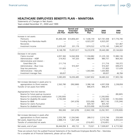#### **HEALTHCARE EMPLOYEES BENEFITS PLAN – MANITOBA**

Statements of Changes in Net Assets

Years ended December 31, 2000 and 1999

|                                            | Group<br>Life Plan | Dental and<br><b>Extended</b><br><b>Health Plan</b> | Long-term<br><b>Disability</b><br>Plan | 2000<br><b>Total</b> | 1999<br><b>Total</b> |
|--------------------------------------------|--------------------|-----------------------------------------------------|----------------------------------------|----------------------|----------------------|
| Increase in net assets:                    |                    |                                                     |                                        |                      |                      |
| Premiums                                   | \$5,469,338        | \$14,856,441                                        | \$7,436,159                            | \$27,761,938         | \$17,776,790         |
| Funding from Manitoba Health               |                    |                                                     | 6,923,297                              | 6,923,297            |                      |
| Recoveries                                 |                    |                                                     |                                        |                      | 521,467              |
| Investment income                          | 2,679,447          | 201,176                                             | 1,874,522                              | 4,755,145            | 1,846,347            |
|                                            | 8,148,785          | 15,057,617                                          | 16,233,978                             | 39,440,380           | 20,144,604           |
| Decrease in net assets:                    |                    |                                                     |                                        |                      |                      |
| Claims incurred                            | 4,957,360          | 14,942,858                                          | 11,334,882                             | 31,235,100           | 15,980,136           |
| Administrative - HEBP                      | 214,452            | 197,320                                             | 468,985                                | 880,757              | 864,342              |
| Administrative and interest -              |                    |                                                     |                                        |                      |                      |
| Great-West Life                            | 211,716            |                                                     |                                        | 211,716              | 193,372              |
| Administrative - Blue Cross                |                    | 910,307                                             |                                        | 910,307              | 699,473              |
| Stop loss premiums                         | 131,820            |                                                     |                                        | 131,820              | 121,639              |
| Administrative - Manulife                  |                    |                                                     | 1,043,965                              | 1,043,965            |                      |
| Investment manager fees                    | 69,657             |                                                     |                                        | 69,657               | 46,784               |
|                                            | 5,585,005          | 16,050,485                                          | 12,847,832                             | 34,483,322           | 17,905,746           |
| Net increase (decrease) in assets prior to |                    |                                                     |                                        |                      |                      |
| appropriations to (from) reserves          | 2,563,780          | (992, 868)                                          | 3,386,146                              | 4,957,058            | 2,238,858            |
| Transfer of net assets from MHO            |                    |                                                     | 846,475                                | 846,475              |                      |
| Appropriations from (to) reserves:         |                    |                                                     |                                        |                      |                      |
| Reserve for future paid-up insurance       |                    |                                                     |                                        |                      | (80, 665)            |
| Reserve for contributions stabilization    | (1,200,000)        |                                                     |                                        | (1,200,000)          |                      |
| Reserve for disability life waiver         | 2,192,000          |                                                     |                                        | 2,192,000            | (1,763,000)          |
| Reserve for IBNR                           |                    | (341, 678)                                          | (525, 438)                             | (867, 116)           | (135, 244)           |
| Reserve for claims fluctuation             |                    |                                                     | 835,767                                | 835,767              |                      |
| Reserve for disabled lives                 |                    |                                                     | (4,253,438)                            | (4,253,438)          |                      |
|                                            | 992,000            | (341, 678)                                          | (3,943,109)                            | (3,292,787)          | (1,978,909)          |
| Net increase (decrease) in assets after    |                    |                                                     |                                        |                      |                      |
| appropriations to (from) reserves          | 3,555,780          | (1,334,546)                                         | 289,512                                | 2,510,746            | 259,949              |
| Net assets, beginning of year              | 2,888,314          | 1,827,268                                           |                                        | 4,715,582            | 4,455,633            |
| Transfer of unrestricted net assets        |                    |                                                     | (216, 491)                             | (216, 491)           |                      |
| Net assets, end of year                    | \$6,444,094 \$     | 492,722                                             | \$<br>73,021                           | \$7,009,837          | \$4,715,582          |
|                                            |                    |                                                     |                                        |                      |                      |

These are extracts from the audited Financial Statements of the Healthcare Employees Benefits Plan – Manitoba. For a complete set of Financial Statements, please call our office.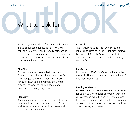

# on the horizon<br>
What to look for<br>
What to look for What to look for

Providing you with Plan information and updates is one of our top priorities at HEBP. You will continue to receive PlanTalk newsletters, and in the coming year we are pleased to be introducing a new website and orientation video in addition to a manual for employers.

#### **PlanSite**

Our new website at **www.hebp.mb.ca** will feature the latest information on Plan benefits and changes as well as contact information, forms to download, newsletters and annual reports. The website will be updated and expanded on an ongoing basis.

#### **PlanView**

An orientation video is being produced to inform new healthcare employees about their Pension and Benefits Plans and to assist employers with enrolment and orientation.

#### **PlanTalk**

The PlanTalk newsletter for employees and retirees participating in the Healthcare Employees Pension and Benefits Plans continues to be distributed two times each year, in the spring and the fall.

#### **PlanFacts**

Introduced in 2000, PlanFacts continues to be sent to facility administrators to inform them of important Plan issues.

#### **Employer Manual**

Employer manuals will be distributed to facilities for administrators to refer to when counselling employees, particularly when a new employee is hired and being enrolled in the Plans or when an employee is being transferred from or to a facility or terminating employment